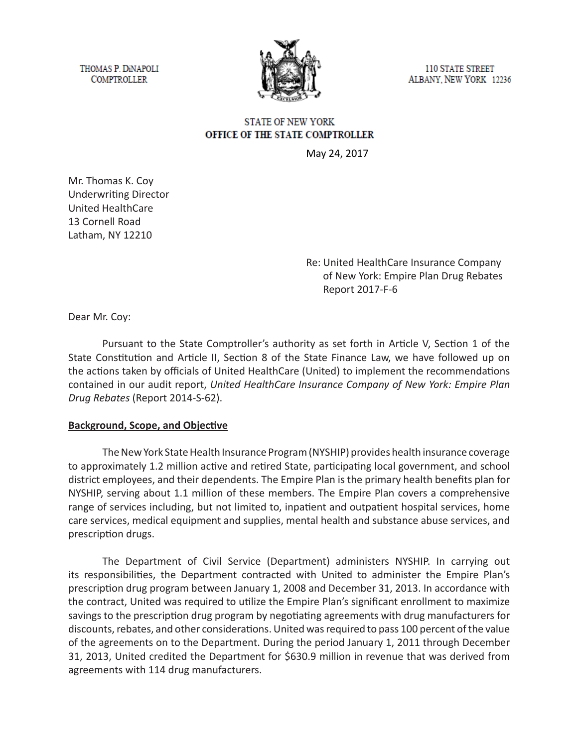THOMAS P. DINAPOLI **COMPTROLLER** 



**110 STATE STREET** ALBANY, NEW YORK 12236

# **STATE OF NEW YORK** OFFICE OF THE STATE COMPTROLLER

May 24, 2017

Mr. Thomas K. Coy Underwriting Director United HealthCare 13 Cornell Road Latham, NY 12210

> Re: United HealthCare Insurance Company of New York: Empire Plan Drug Rebates Report 2017-F-6

Dear Mr. Coy:

Pursuant to the State Comptroller's authority as set forth in Article V, Section 1 of the State Constitution and Article II, Section 8 of the State Finance Law, we have followed up on the actions taken by officials of United HealthCare (United) to implement the recommendations contained in our audit report, *United HealthCare Insurance Company of New York: Empire Plan Drug Rebates* (Report 2014-S-62).

#### **Background, Scope, and Objective**

The New York State Health Insurance Program (NYSHIP) provides health insurance coverage to approximately 1.2 million active and retired State, participating local government, and school district employees, and their dependents. The Empire Plan is the primary health benefits plan for NYSHIP, serving about 1.1 million of these members. The Empire Plan covers a comprehensive range of services including, but not limited to, inpatient and outpatient hospital services, home care services, medical equipment and supplies, mental health and substance abuse services, and prescription drugs.

The Department of Civil Service (Department) administers NYSHIP. In carrying out its responsibilities, the Department contracted with United to administer the Empire Plan's prescription drug program between January 1, 2008 and December 31, 2013. In accordance with the contract, United was required to utilize the Empire Plan's significant enrollment to maximize savings to the prescription drug program by negotiating agreements with drug manufacturers for discounts, rebates, and other considerations. United was required to pass 100 percent of the value of the agreements on to the Department. During the period January 1, 2011 through December 31, 2013, United credited the Department for \$630.9 million in revenue that was derived from agreements with 114 drug manufacturers.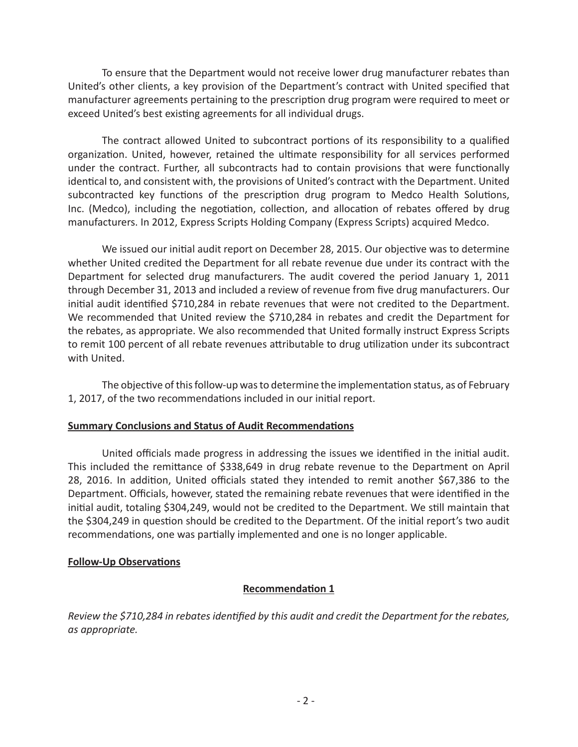To ensure that the Department would not receive lower drug manufacturer rebates than United's other clients, a key provision of the Department's contract with United specified that manufacturer agreements pertaining to the prescription drug program were required to meet or exceed United's best existing agreements for all individual drugs.

The contract allowed United to subcontract portions of its responsibility to a qualified organization. United, however, retained the ultimate responsibility for all services performed under the contract. Further, all subcontracts had to contain provisions that were functionally identical to, and consistent with, the provisions of United's contract with the Department. United subcontracted key functions of the prescription drug program to Medco Health Solutions, Inc. (Medco), including the negotiation, collection, and allocation of rebates offered by drug manufacturers. In 2012, Express Scripts Holding Company (Express Scripts) acquired Medco.

We issued our initial audit report on December 28, 2015. Our objective was to determine whether United credited the Department for all rebate revenue due under its contract with the Department for selected drug manufacturers. The audit covered the period January 1, 2011 through December 31, 2013 and included a review of revenue from five drug manufacturers. Our initial audit identified \$710,284 in rebate revenues that were not credited to the Department. We recommended that United review the \$710,284 in rebates and credit the Department for the rebates, as appropriate. We also recommended that United formally instruct Express Scripts to remit 100 percent of all rebate revenues attributable to drug utilization under its subcontract with United.

The objective of this follow-up was to determine the implementation status, as of February 1, 2017, of the two recommendations included in our initial report.

#### **Summary Conclusions and Status of Audit Recommendations**

United officials made progress in addressing the issues we identified in the initial audit. This included the remittance of \$338,649 in drug rebate revenue to the Department on April 28, 2016. In addition, United officials stated they intended to remit another \$67,386 to the Department. Officials, however, stated the remaining rebate revenues that were identified in the initial audit, totaling \$304,249, would not be credited to the Department. We still maintain that the \$304,249 in question should be credited to the Department. Of the initial report's two audit recommendations, one was partially implemented and one is no longer applicable.

#### **Follow-Up Observations**

### **Recommendation 1**

*Review the \$710,284 in rebates identified by this audit and credit the Department for the rebates, as appropriate.*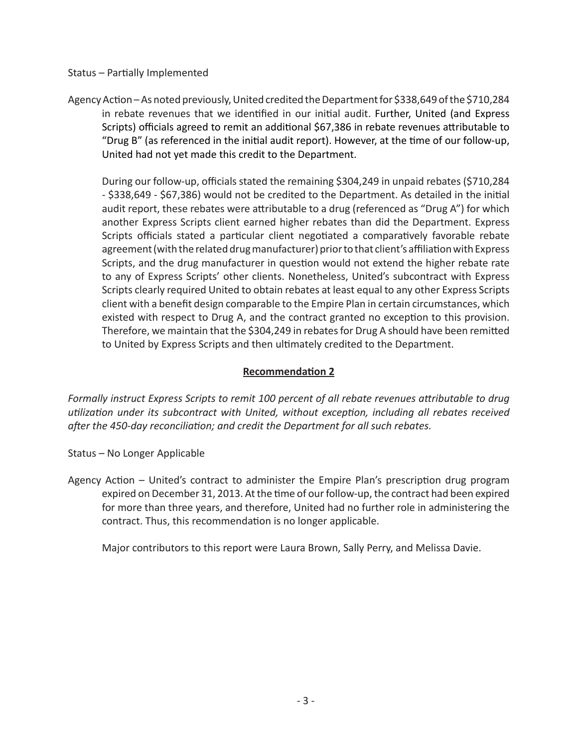#### Status – Partially Implemented

Agency Action – As noted previously, United credited the Department for \$338,649 of the \$710,284 in rebate revenues that we identified in our initial audit. Further, United (and Express Scripts) officials agreed to remit an additional \$67,386 in rebate revenues attributable to "Drug B" (as referenced in the initial audit report). However, at the time of our follow-up, United had not yet made this credit to the Department.

During our follow-up, officials stated the remaining \$304,249 in unpaid rebates (\$710,284 - \$338,649 - \$67,386) would not be credited to the Department. As detailed in the initial audit report, these rebates were attributable to a drug (referenced as "Drug A") for which another Express Scripts client earned higher rebates than did the Department. Express Scripts officials stated a particular client negotiated a comparatively favorable rebate agreement (with the related drug manufacturer) prior to that client's affiliation with Express Scripts, and the drug manufacturer in question would not extend the higher rebate rate to any of Express Scripts' other clients. Nonetheless, United's subcontract with Express Scripts clearly required United to obtain rebates at least equal to any other Express Scripts client with a benefit design comparable to the Empire Plan in certain circumstances, which existed with respect to Drug A, and the contract granted no exception to this provision. Therefore, we maintain that the \$304,249 in rebates for Drug A should have been remitted to United by Express Scripts and then ultimately credited to the Department.

## **Recommendation 2**

*Formally instruct Express Scripts to remit 100 percent of all rebate revenues attributable to drug utilization under its subcontract with United, without exception, including all rebates received after the 450-day reconciliation; and credit the Department for all such rebates.*

- Status No Longer Applicable
- Agency Action United's contract to administer the Empire Plan's prescription drug program expired on December 31, 2013. At the time of our follow-up, the contract had been expired for more than three years, and therefore, United had no further role in administering the contract. Thus, this recommendation is no longer applicable.

Major contributors to this report were Laura Brown, Sally Perry, and Melissa Davie.